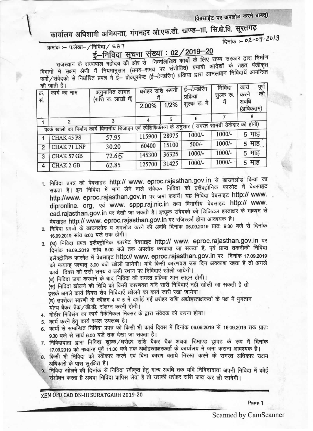(वेबसाईट पर अपलोड करने बाबत्)

कार्यालय अधिशाषी अभियन्ता, गंगनहर ओ.एफ.डी. खण्ड--ाा, सि.क्षे.वि. सूरतगढ़

दिनांक :- 02-09-2019

क्रमांक :- प.लेखा-/निविदा/ 587

## <u>ई–निविदा सूचना संख्या : 02/2019–20</u>

राजस्थान के राज्यपाल महोदय की ओर से निम्नलिखित कार्यों के लिए राज्य सरकार द्वारा निर्माण विभागों मे सक्षम श्रेणी में नियमानुसार (समय-समय पर संशोधित) प्रभावी आदेशों के तहत पंजीकृत फर्मो/संवेदको से निर्धारित प्रपत्र मे ई– प्रोक्यूरमेन्ट (ई–टेण्डरिंग) प्रक्रिया द्वारा आनलाइन निविदायें आमन्त्रित

| क्र.<br>सं.                                                                                              | $91$ $91$ $11$ $12$ $13$<br>अनुमानित लागत<br>कार्य का नाम<br>(राशि रू. लाखों में) |       | धरोहर राशि रूपयों<br>1/2%<br>2.00% |       | ई–टेण्डरिंग<br>प्रक्रिया<br>शुल्क रू. में | निविदा<br>शुल्क रू. | काय<br>पूर्ण<br>की<br>करने<br>अवधि |
|----------------------------------------------------------------------------------------------------------|-----------------------------------------------------------------------------------|-------|------------------------------------|-------|-------------------------------------------|---------------------|------------------------------------|
|                                                                                                          |                                                                                   |       |                                    |       |                                           |                     | (अधिकतम)                           |
|                                                                                                          |                                                                                   |       |                                    | 5     |                                           |                     |                                    |
| पक्के खालों का निर्माण कार्य विभागीय डिजाइन एवं स्पेशिफिकेंसन के अनुसार ( समस्त सामग्री ठेकेदार की होगी) |                                                                                   |       |                                    |       |                                           |                     |                                    |
|                                                                                                          | CHAK 45 PS                                                                        | 57.95 | 115900                             | 28975 | $1000/-$                                  | 1000/-              | 5 माह                              |
| $\overline{2}$                                                                                           | CHAK 71 LNP                                                                       | 30.20 | 60400                              | 15100 | $500/-$                                   | 1000/-              | 5 माह                              |
| 3                                                                                                        | CHAK 57 GB                                                                        | 72.65 | 145300                             | 36325 | 1000/-                                    | 1000/-              | 5 माह                              |
| 4                                                                                                        | <b>CHAK 2 GB</b>                                                                  | 62.85 | 125700                             | 31425 | 1000/-                                    | 1000/-              | 5 माह                              |
|                                                                                                          |                                                                                   |       |                                    |       |                                           |                     |                                    |

- 1. निविदा प्रपत्र को वेबसाइट http:// www. eproc.rajasthan.gov.in से डाउनलोड किया जा सकता है। इन निविदा में भाग लेने वाले संवेदक निविदा को इलैक्ट्रोनिक फारमेट में वेबसाइट http://www. eproc.rajasthan.gov.in पर जमा करायें। यह निविदा वेबसाइट http:// www. dipronline. org, एवं www. sppp.raj.nic.in तथा विभागीय वेबसाइट http:// www. cad.rajasthan.gov.in पर देखी जा सकती है। इच्छुक संवेदको को डिजिटल हस्ताक्षर के माध्यम से बेबसाइट http:// www. eproc.rajasthan.gov.in पर रजिस्टर्ड होना आवश्यक है।
- 2. निविदा प्रपत्रों के डाउनलोड व अपलोड करने की अवधि दिनांक 06.09.2019 प्रातः 9.30 बजे से दिनांक 16.09.2019 सांय 6:00 बजे तक होगी।

3. (अ) निविदा प्रपत्र इलैक्ट्रोनिक फारमेट वेबसाइट http:// www. eproc.rajasthan.gov.in पर दिनांक 16.09..2019 सांय 6.00 बजे तक अपलोड करवाया जा सकता है, एवं प्राप्त तकनीकी निविदा इलैक्ट्रोनिक फारमेट में वेबसाइट http:// www. eproc.rajasthan.gov.in पर दिनांक 17.09.2019 को मध्यान्ह पश्चात् 3.00 बजे खोली जायेगी। यदि किसी कारणवश उस दिन अवकाश रहता है तो अगले कार्य दिवस को उसी समय व उसी स्थान पर निविदाएं खोली जायेगी।

(ब) निविदा जमा करवाने के बाद निविदा की समस्त प्रक्रिया आन लाइन होगी।

(स) निविदा खोलने की तिथि को किसी कारणवश यदि सारी निविदाएं नही खोली जा सकती है तो इसके अगले कार्य दिवस शेष निविदाएें खोलने का कार्य जारी रखा जायेगा।

(द) उपरोक्त सारणी के कॉलम 4 व 5 में दर्शाई गई धरोहर राशि अद्योहस्ताक्षकर्ता के पक्ष में भुगतान योग्य बैंकर चैक/डी.डी. संलग्न करनी होगी।

4. मोर्टार मिक्सिंग का कार्य मैकेनिकल मिक्सर के द्वारा संवेदक को करना होगा।

- 5. कार्य करने हेतु कार्य स्थल उपलब्ध है।
- 6. कार्यों से सम्बन्धित निविदा प्रपत्र को किसी भी कार्य दिवस में दिनांक 06.09.2019 से 16.09.2019 तक प्रातः 9.30 बजे से सायं 6.00 बजे तक देखा जा सकता है।
- 7. निविदादाता द्वारा निविदा शुल्क/धरोहर राशि बैंकर चैक अथवा डिमाण्ड ड्राफ्ट के रूप में दिनांक 17.09.2019 को मध्यान्ह पूर्व 11.00 बजे तक अधोहस्ताक्षरकर्ता के कार्यालय मे जमा कराना आवश्यक है।
- 8. किसी भी निविदा को स्वीकार करने एवं बिना कारण बताये निरस्त करने के समस्त अधिकार सक्षम अधिकारी के पास सुरक्षित है।
- 9. निविदा खोलने की दिनांक से निविदा स्वीकृत हेतु मान्य अवधि तक यदि निविदादाता अपनी निविदा में कोई संशोधन करता है अथवा निविदा वापिस लेता है तो उसकी धरोहर राशि जब्त कर ली जावेगी।

XEN OFD CAD DN-III SURATGARH 2019-20

Page 1